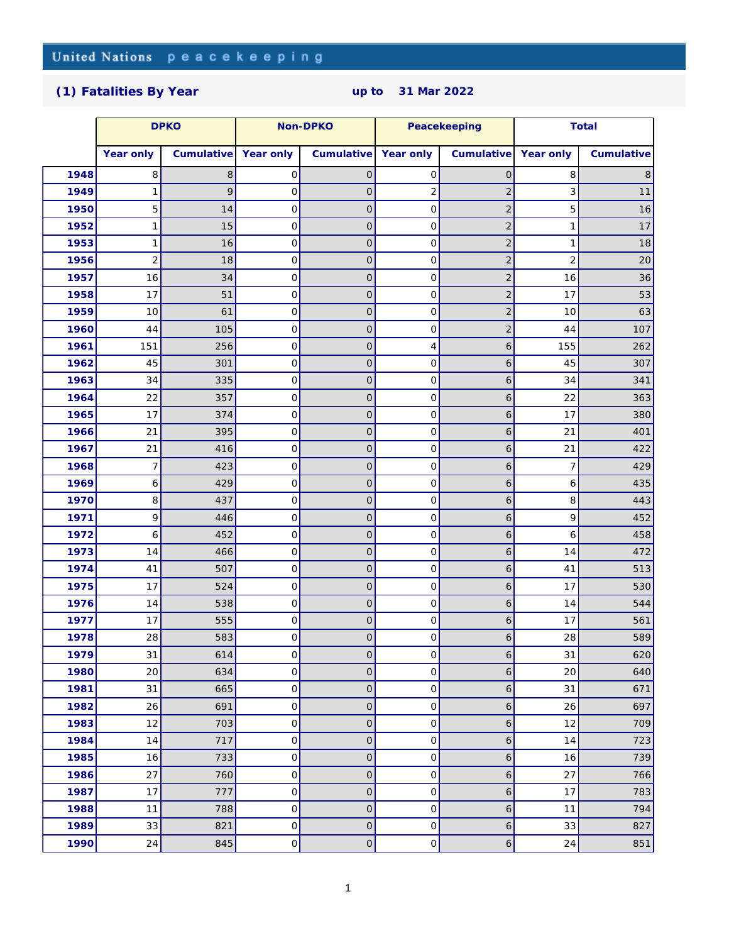## **[\(1\) Fatalities By Year](http://www.un.org/Depts/dpko/fatalities/) up to 31 Mar 2022**

|      | <b>DPKO</b>    |            | Non-DPKO            |                | Peacekeeping        |                  | Total          |            |
|------|----------------|------------|---------------------|----------------|---------------------|------------------|----------------|------------|
|      | Year only      | Cumulative | Year only           | Cumulative     | Year only           | Cumulative       | Year only      | Cumulative |
| 1948 | 8              | 8          | 0                   | $\overline{O}$ | $\mathbf 0$         | $\mathsf O$      | 8              | 8          |
| 1949 | 1              | 9          | 0                   | 0              | $\overline{2}$      | $\overline{c}$   | 3              | 11         |
| 1950 | 5              | 14         | 0                   | 0              | 0                   | $\overline{c}$   | 5              | 16         |
| 1952 | 1              | 15         | $\mathbf 0$         | $\overline{O}$ | $\mathbf 0$         | $\overline{2}$   | $\mathbf 1$    | 17         |
| 1953 | 1              | 16         | $\mathsf{O}\xspace$ | $\mathsf O$    | $\mathsf O$         | $\overline{2}$   | 1              | 18         |
| 1956 | $\overline{2}$ | 18         | $\mathbf 0$         | $\circ$        | $\mathsf{O}\xspace$ | $\overline{2}$   | $\overline{2}$ | 20         |
| 1957 | 16             | 34         | 0                   | 0              | $\mathsf O$         | $\overline{c}$   | 16             | 36         |
| 1958 | 17             | 51         | 0                   | $\overline{O}$ | $\mathbf 0$         | $\overline{c}$   | 17             | 53         |
| 1959 | 10             | 61         | $\mathbf 0$         | $\overline{O}$ | $\mathbf 0$         | $\overline{c}$   | 10             | 63         |
| 1960 | 44             | 105        | $\mathsf{O}\xspace$ | $\mathsf O$    | $\mathsf O$         | $\overline{2}$   | 44             | 107        |
| 1961 | 151            | 256        | $\mathbf 0$         | $\circ$        | 4                   | $\boldsymbol{6}$ | 155            | 262        |
| 1962 | 45             | 301        | $\mathsf{O}\xspace$ | 0              | $\mathsf O$         | $\boldsymbol{6}$ | 45             | 307        |
| 1963 | 34             | 335        | 0                   | $\overline{O}$ | $\mathbf 0$         | 6                | 34             | 341        |
| 1964 | 22             | 357        | $\mathbf 0$         | $\overline{O}$ | $\mathbf 0$         | 6                | 22             | 363        |
| 1965 | 17             | 374        | $\mathsf{O}\xspace$ | 0              | $\mathsf O$         | 6                | 17             | 380        |
| 1966 | 21             | 395        | $\mathbf 0$         | $\circ$        | $\mathsf{O}\xspace$ | 6                | 21             | 401        |
| 1967 | 21             | 416        | $\mathsf{O}\xspace$ | 0              | $\mathsf O$         | $\boldsymbol{6}$ | 21             | 422        |
| 1968 | 7              | 423        | $\mathbf 0$         | $\mathbf 0$    | $\mathbf 0$         | 6                | 7              | 429        |
| 1969 | 6              | 429        | $\mathbf 0$         | $\overline{O}$ | $\mathbf 0$         | 6                | 6              | 435        |
| 1970 | 8              | 437        | $\mathsf{O}\xspace$ | 0              | $\mathsf O$         | $\boldsymbol{6}$ | 8              | 443        |
| 1971 | 9              | 446        | $\mathbf 0$         | $\circ$        | $\mathsf{O}\xspace$ | 6                | 9              | 452        |
| 1972 | 6              | 452        | $\mathsf{O}\xspace$ | 0              | $\mathsf O$         | $\boldsymbol{6}$ | 6              | 458        |
| 1973 | 14             | 466        | $\mathbf 0$         | $\mathbf 0$    | $\mathbf 0$         | 6                | 14             | 472        |
| 1974 | 41             | 507        | $\mathbf 0$         | $\overline{O}$ | $\mathbf 0$         | 6                | 41             | 513        |
| 1975 | 17             | 524        | $\mathsf{O}\xspace$ | 0              | $\mathsf O$         | 6                | 17             | 530        |
| 1976 | 14             | 538        | $\mathbf 0$         | $\circ$        | $\mathsf{O}\xspace$ | 6                | 14             | 544        |
| 1977 | 17             | 555        | $\mathsf{O}\xspace$ | $\overline{O}$ | $\mathsf O$         | 6                | 17             | 561        |
| 1978 | 28             | 583        | $\mathcal{O}$       | 0              | 0                   | 6                | 28             | 589        |
| 1979 | 31             | 614        | $\mathsf O$         | $\mathsf O$    | $\mathsf{O}$        | 6                | 31             | 620        |
| 1980 | 20             | 634        | $\mathsf O$         | $\hbox{O}$     | $\mbox{O}$          | $\boldsymbol{6}$ | 20             | 640        |
| 1981 | 31             | 665        | $\mathsf{O}\xspace$ | $\mathsf O$    | $\mathsf{O}$        | $\boldsymbol{6}$ | 31             | 671        |
| 1982 | 26             | 691        | $\mathsf O$         | $\hbox{O}$     | $\mathsf O$         | $\boldsymbol{6}$ | 26             | 697        |
| 1983 | 12             | 703        | $\mathsf{O}\xspace$ | $\mathsf O$    | $\mathsf O$         | $\boldsymbol{6}$ | 12             | 709        |
| 1984 | 14             | 717        | $\mathbf 0$         | $\overline{0}$ | $\mathbf 0$         | $\boldsymbol{6}$ | 14             | 723        |
| 1985 | 16             | 733        | $\mathsf O$         | $\hbox{O}$     | $\mbox{O}$          | $\boldsymbol{6}$ | 16             | 739        |
| 1986 | 27             | 760        | $\mathsf{O}\xspace$ | $\mathsf O$    | $\mathsf{O}$        | $\boldsymbol{6}$ | 27             | 766        |
| 1987 | 17             | 777        | $\mathsf O$         | $\overline{0}$ | $\mathsf O$         | $\boldsymbol{6}$ | 17             | 783        |
| 1988 | 11             | 788        | 0                   | $\mathsf O$    | $\mathsf O$         | $\boldsymbol{6}$ | 11             | 794        |
| 1989 | 33             | 821        | $\mathsf O$         | $\hbox{O}$     | $\mathsf O$         | $\boldsymbol{6}$ | 33             | 827        |
| 1990 | 24             | 845        | $\mathsf O$         | $\hbox{O}$     | $\mbox{O}$          | $\boldsymbol{6}$ | 24             | 851        |